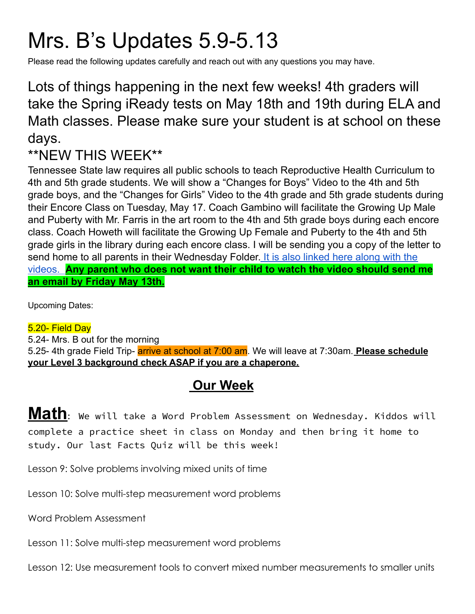# Mrs. B's Updates 5.9-5.13

Please read the following updates carefully and reach out with any questions you may have.

#### Lots of things happening in the next few weeks! 4th graders will take the Spring iReady tests on May 18th and 19th during ELA and Math classes. Please make sure your student is at school on these days.

#### \*\*NEW THIS WEEK\*\*

Tennessee State law requires all public schools to teach Reproductive Health Curriculum to 4th and 5th grade students. We will show a "Changes for Boys" Video to the 4th and 5th grade boys, and the "Changes for Girls" Video to the 4th grade and 5th grade students during their Encore Class on Tuesday, May 17. Coach Gambino will facilitate the Growing Up Male and Puberty with Mr. Farris in the art room to the 4th and 5th grade boys during each encore class. Coach Howeth will facilitate the Growing Up Female and Puberty to the 4th and 5th grade girls in the library during each encore class. I will be sending you a copy of the letter to send home to all parents in their Wednesday Folder. It is also [linked](https://docs.google.com/document/d/12K7B3DrBBDraiOcUO74OOd8kROaAP2eK/edit?usp=sharing&ouid=108253847898517478753&rtpof=true&sd=true) here along with the [videos.](https://docs.google.com/document/d/12K7B3DrBBDraiOcUO74OOd8kROaAP2eK/edit?usp=sharing&ouid=108253847898517478753&rtpof=true&sd=true) **Any parent who does not want their child to watch the video should send me an email by Friday May 13th.**

Upcoming Dates:

#### 5.20- Field Day

5.24- Mrs. B out for the morning 5.25- 4th grade Field Trip- arrive at school at 7:00 am. We will leave at 7:30am. **Please schedule your Level 3 background check ASAP if you are a chaperone.**

#### **Our Week**

**Math:** We will take <sup>a</sup> Word Problem Assessment on Wednesday. Kiddos will complete a practice sheet in class on Monday and then bring it home to study. Our last Facts Quiz will be this week!

Lesson 9: Solve problems involving mixed units of time

Lesson 10: Solve multi-step measurement word problems

Word Problem Assessment

Lesson 11: Solve multi-step measurement word problems

Lesson 12: Use measurement tools to convert mixed number measurements to smaller units